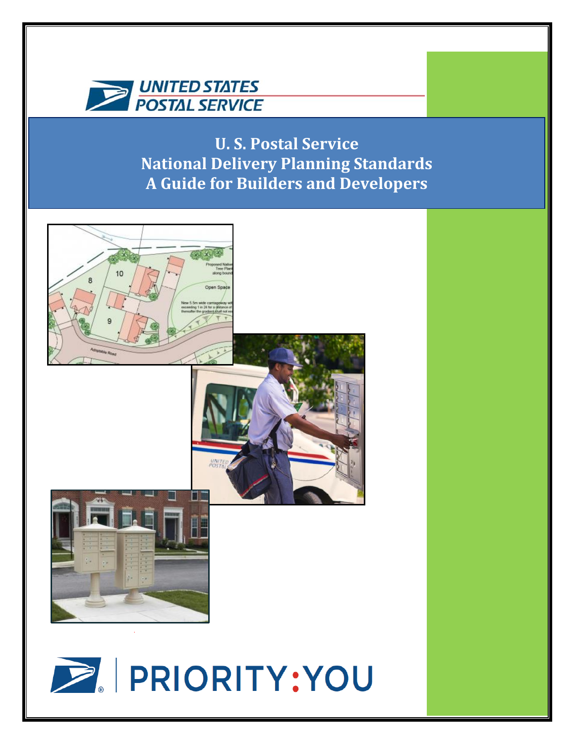

**U. S. Postal Service National Delivery Planning Standards A Guide for Builders and Developers**

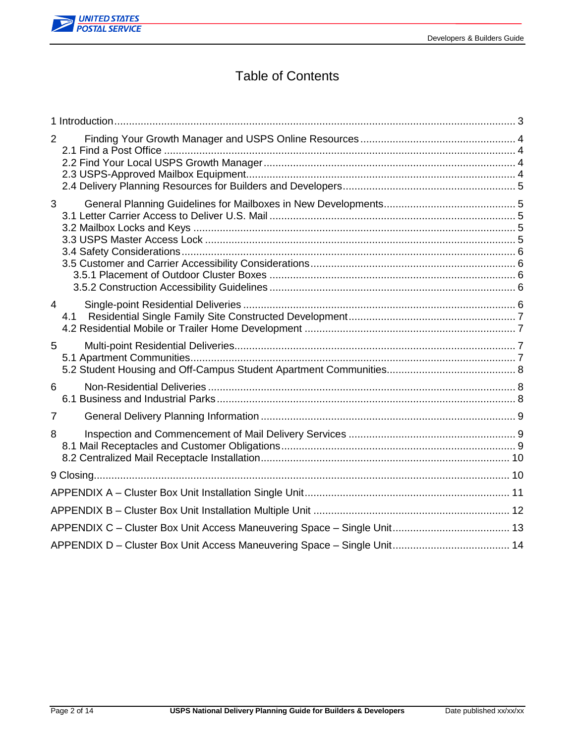

# Table of Contents

| $\overline{2}$ |     |  |
|----------------|-----|--|
|                |     |  |
| 3              |     |  |
|                |     |  |
| $\overline{4}$ | 4.1 |  |
| 5              |     |  |
| 6              |     |  |
| $\overline{7}$ |     |  |
| 8              |     |  |
|                |     |  |
|                |     |  |
|                |     |  |
|                |     |  |
|                |     |  |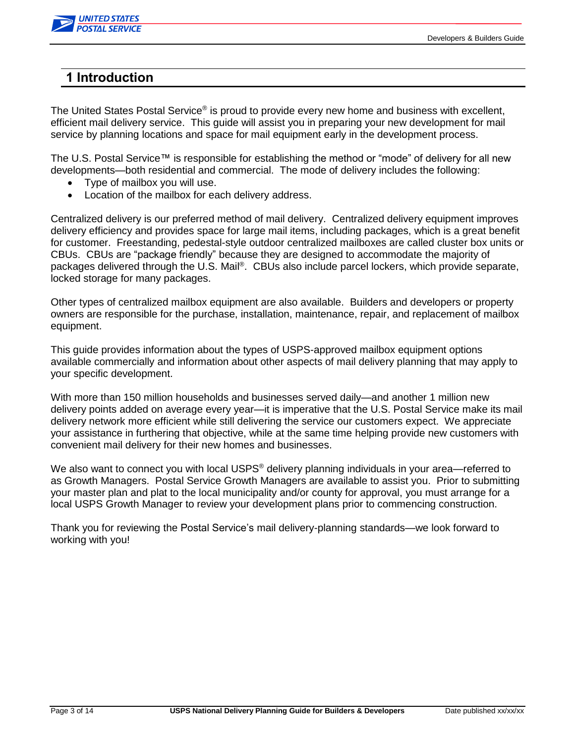

### <span id="page-2-0"></span>**1 Introduction**

The United States Postal Service® is proud to provide every new home and business with excellent, efficient mail delivery service. This guide will assist you in preparing your new development for mail service by planning locations and space for mail equipment early in the development process.

The U.S. Postal Service™ is responsible for establishing the method or "mode" of delivery for all new developments—both residential and commercial. The mode of delivery includes the following:

- Type of mailbox you will use.
- Location of the mailbox for each delivery address.

Centralized delivery is our preferred method of mail delivery. Centralized delivery equipment improves delivery efficiency and provides space for large mail items, including packages, which is a great benefit for customer. Freestanding, pedestal-style outdoor centralized mailboxes are called cluster box units or CBUs. CBUs are "package friendly" because they are designed to accommodate the majority of packages delivered through the U.S. Mail®. CBUs also include parcel lockers, which provide separate, locked storage for many packages.

Other types of centralized mailbox equipment are also available. Builders and developers or property owners are responsible for the purchase, installation, maintenance, repair, and replacement of mailbox equipment.

This guide provides information about the types of USPS-approved mailbox equipment options available commercially and information about other aspects of mail delivery planning that may apply to your specific development.

With more than 150 million households and businesses served daily—and another 1 million new delivery points added on average every year—it is imperative that the U.S. Postal Service make its mail delivery network more efficient while still delivering the service our customers expect. We appreciate your assistance in furthering that objective, while at the same time helping provide new customers with convenient mail delivery for their new homes and businesses.

We also want to connect you with local USPS<sup>®</sup> delivery planning individuals in your area—referred to as Growth Managers. Postal Service Growth Managers are available to assist you. Prior to submitting your master plan and plat to the local municipality and/or county for approval, you must arrange for a local USPS Growth Manager to review your development plans prior to commencing construction.

Thank you for reviewing the Postal Service's mail delivery-planning standards—we look forward to working with you!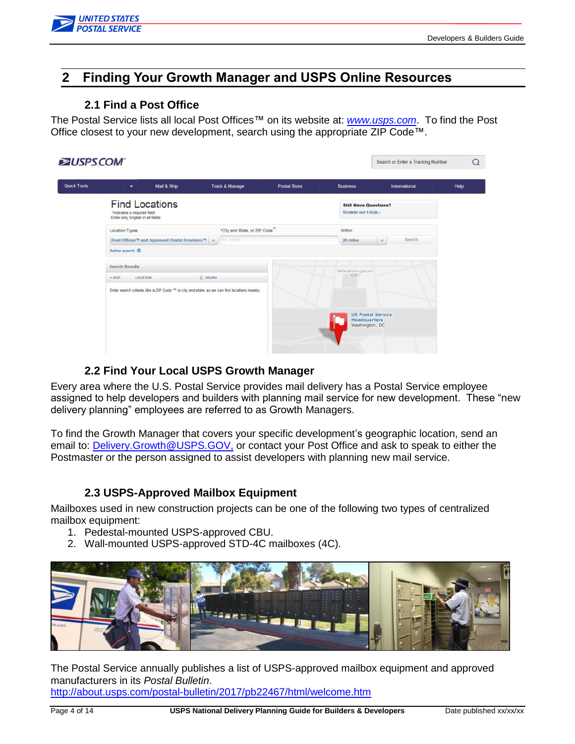

## <span id="page-3-0"></span>**2 Finding Your Growth Manager and USPS Online Resources**

#### <span id="page-3-1"></span>**2.1 Find a Post Office**

The Postal Service lists all local Post Offices™ on its website at: *[www.usps.com](http://www.usps.com/)*. To find the Post Office closest to your new development, search using the appropriate ZIP Code™.

| Quick Tools | Mail & Ship<br>$\checkmark$                                                              | <b>Track &amp; Manage</b>                                                                     | <b>Postal Store</b>           | <b>Business</b>                                                   | International    | Help |
|-------------|------------------------------------------------------------------------------------------|-----------------------------------------------------------------------------------------------|-------------------------------|-------------------------------------------------------------------|------------------|------|
|             | <b>Find Locations</b><br>*indicates a required field<br>Enter only English in all fields |                                                                                               |                               | <b>Still Have Questions?</b><br>Browse our FAQs »                 |                  |      |
|             | Location Types                                                                           |                                                                                               | "City and State, or ZIP Code" | Within                                                            |                  |      |
|             | Post Offices™ and Approved Postal Providers™ ~                                           | Fx 12345                                                                                      |                               | 20 miles                                                          | Search<br>$\sim$ |      |
|             | Refine search O                                                                          |                                                                                               |                               |                                                                   |                  |      |
|             | <b>Search Results</b><br><b>LOCATION</b><br>$-$ DIST                                     | <b>F</b> HOURS                                                                                |                               | Washington<br><b>DC</b>                                           |                  |      |
|             |                                                                                          | Enter search criteria, like a ZIP Code "" or city and state, so we can find locations nearby. |                               |                                                                   |                  |      |
|             |                                                                                          |                                                                                               |                               | <b>US Postal Service</b><br><b>Headquarters</b><br>Washington, DC |                  |      |

### <span id="page-3-2"></span>**2.2 Find Your Local USPS Growth Manager**

Every area where the U.S. Postal Service provides mail delivery has a Postal Service employee assigned to help developers and builders with planning mail service for new development. These "new delivery planning" employees are referred to as Growth Managers.

To find the Growth Manager that covers your specific development's geographic location, send an email to: [Delivery.Growth@USPS.GOV,](mailto:Delivery.Growth@USPS.GOV) or contact your Post Office and ask to speak to either the Postmaster or the person assigned to assist developers with planning new mail service.

### <span id="page-3-3"></span>**2.3 USPS-Approved Mailbox Equipment**

Mailboxes used in new construction projects can be one of the following two types of centralized mailbox equipment:

- 1. Pedestal-mounted USPS-approved CBU.
- 2. Wall-mounted USPS-approved STD-4C mailboxes (4C).



The Postal Service annually publishes a list of USPS-approved mailbox equipment and approved manufacturers in its *Postal Bulletin*.

<http://about.usps.com/postal-bulletin/2017/pb22467/html/welcome.htm>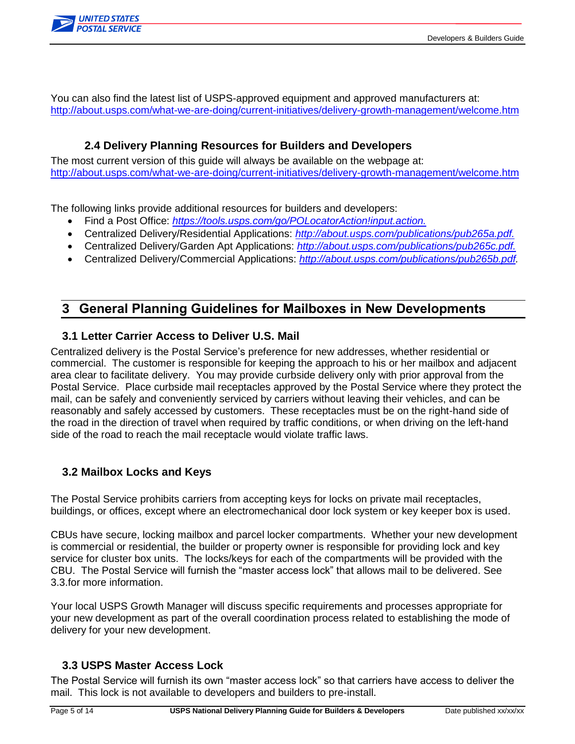

You can also find the latest list of USPS-approved equipment and approved manufacturers at: <http://about.usps.com/what-we-are-doing/current-initiatives/delivery-growth-management/welcome.htm>

### <span id="page-4-0"></span>**2.4 Delivery Planning Resources for Builders and Developers**

The most current version of this guide will always be available on the webpage at: <http://about.usps.com/what-we-are-doing/current-initiatives/delivery-growth-management/welcome.htm>

The following links provide additional resources for builders and developers:

- Find a Post Office: *[https://tools.usps.com/go/POLocatorAction!input.action.](https://tools.usps.com/go/POLocatorAction!input.action)*
- Centralized Delivery/Residential Applications: *[http://about.usps.com/publications/pub265a.pdf.](http://about.usps.com/publications/pub265a.pdf)*
- Centralized Delivery/Garden Apt Applications: *[http://about.usps.com/publications/pub265c.pdf.](http://about.usps.com/publications/pub265c.pdf)*
- Centralized Delivery/Commercial Applications: *[http://about.usps.com/publications/pub265b.pdf.](http://about.usps.com/publications/pub265b.pdf)*

### <span id="page-4-1"></span>**3 General Planning Guidelines for Mailboxes in New Developments**

### <span id="page-4-2"></span>**3.1 Letter Carrier Access to Deliver U.S. Mail**

Centralized delivery is the Postal Service's preference for new addresses, whether residential or commercial. The customer is responsible for keeping the approach to his or her mailbox and adjacent area clear to facilitate delivery. You may provide curbside delivery only with prior approval from the Postal Service. Place curbside mail receptacles approved by the Postal Service where they protect the mail, can be safely and conveniently serviced by carriers without leaving their vehicles, and can be reasonably and safely accessed by customers. These receptacles must be on the right-hand side of the road in the direction of travel when required by traffic conditions, or when driving on the left-hand side of the road to reach the mail receptacle would violate traffic laws.

### <span id="page-4-3"></span>**3.2 Mailbox Locks and Keys**

The Postal Service prohibits carriers from accepting keys for locks on private mail receptacles, buildings, or offices, except where an electromechanical door lock system or key keeper box is used.

CBUs have secure, locking mailbox and parcel locker compartments. Whether your new development is commercial or residential, the builder or property owner is responsible for providing lock and key service for cluster box units. The locks/keys for each of the compartments will be provided with the CBU. The Postal Service will furnish the "master access lock" that allows mail to be delivered. See 3.3.for more information.

Your local USPS Growth Manager will discuss specific requirements and processes appropriate for your new development as part of the overall coordination process related to establishing the mode of delivery for your new development.

### <span id="page-4-4"></span>**3.3 USPS Master Access Lock**

The Postal Service will furnish its own "master access lock" so that carriers have access to deliver the mail. This lock is not available to developers and builders to pre-install.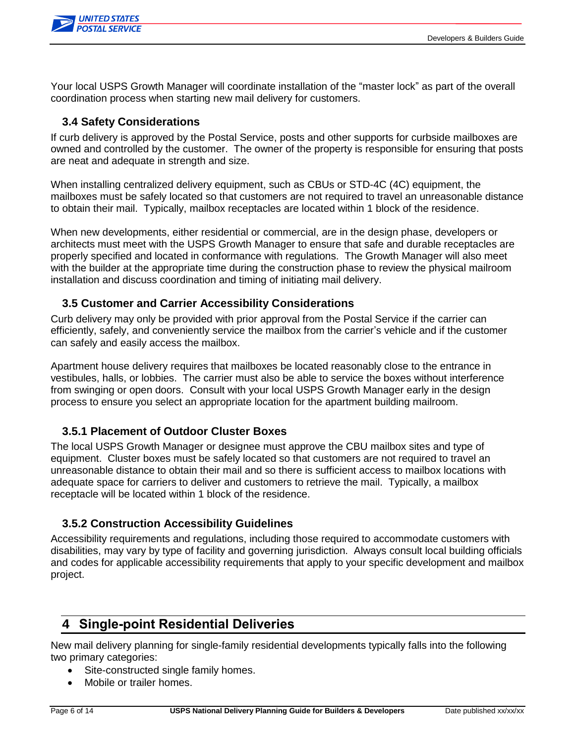

Your local USPS Growth Manager will coordinate installation of the "master lock" as part of the overall coordination process when starting new mail delivery for customers.

### <span id="page-5-0"></span>**3.4 Safety Considerations**

If curb delivery is approved by the Postal Service, posts and other supports for curbside mailboxes are owned and controlled by the customer. The owner of the property is responsible for ensuring that posts are neat and adequate in strength and size.

When installing centralized delivery equipment, such as CBUs or STD-4C (4C) equipment, the mailboxes must be safely located so that customers are not required to travel an unreasonable distance to obtain their mail. Typically, mailbox receptacles are located within 1 block of the residence.

When new developments, either residential or commercial, are in the design phase, developers or architects must meet with the USPS Growth Manager to ensure that safe and durable receptacles are properly specified and located in conformance with regulations. The Growth Manager will also meet with the builder at the appropriate time during the construction phase to review the physical mailroom installation and discuss coordination and timing of initiating mail delivery.

### <span id="page-5-1"></span>**3.5 Customer and Carrier Accessibility Considerations**

Curb delivery may only be provided with prior approval from the Postal Service if the carrier can efficiently, safely, and conveniently service the mailbox from the carrier's vehicle and if the customer can safely and easily access the mailbox.

Apartment house delivery requires that mailboxes be located reasonably close to the entrance in vestibules, halls, or lobbies. The carrier must also be able to service the boxes without interference from swinging or open doors. Consult with your local USPS Growth Manager early in the design process to ensure you select an appropriate location for the apartment building mailroom.

### <span id="page-5-2"></span>**3.5.1 Placement of Outdoor Cluster Boxes**

The local USPS Growth Manager or designee must approve the CBU mailbox sites and type of equipment. Cluster boxes must be safely located so that customers are not required to travel an unreasonable distance to obtain their mail and so there is sufficient access to mailbox locations with adequate space for carriers to deliver and customers to retrieve the mail. Typically, a mailbox receptacle will be located within 1 block of the residence.

### <span id="page-5-3"></span>**3.5.2 Construction Accessibility Guidelines**

Accessibility requirements and regulations, including those required to accommodate customers with disabilities, may vary by type of facility and governing jurisdiction. Always consult local building officials and codes for applicable accessibility requirements that apply to your specific development and mailbox project.

# <span id="page-5-4"></span>**4 Single-point Residential Deliveries**

New mail delivery planning for single-family residential developments typically falls into the following two primary categories:

- Site-constructed single family homes.
- Mobile or trailer homes.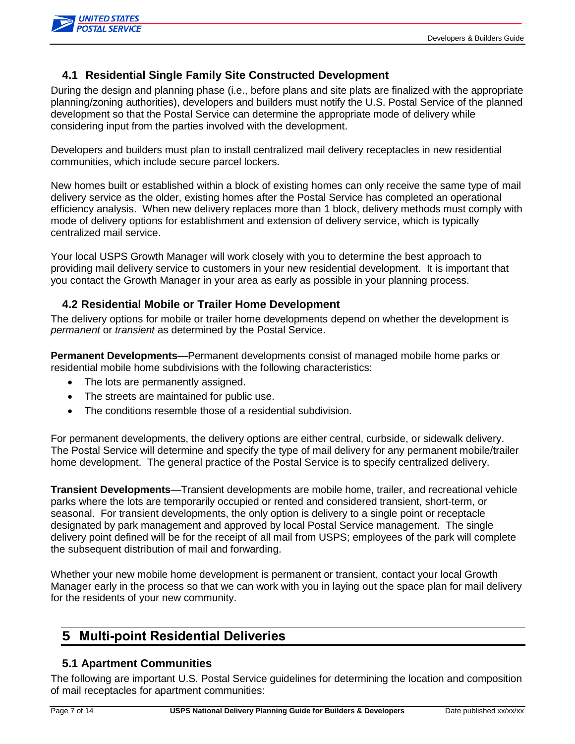

### <span id="page-6-0"></span>**4.1 Residential Single Family Site Constructed Development**

During the design and planning phase (i.e., before plans and site plats are finalized with the appropriate planning/zoning authorities), developers and builders must notify the U.S. Postal Service of the planned development so that the Postal Service can determine the appropriate mode of delivery while considering input from the parties involved with the development.

Developers and builders must plan to install centralized mail delivery receptacles in new residential communities, which include secure parcel lockers.

New homes built or established within a block of existing homes can only receive the same type of mail delivery service as the older, existing homes after the Postal Service has completed an operational efficiency analysis. When new delivery replaces more than 1 block, delivery methods must comply with mode of delivery options for establishment and extension of delivery service, which is typically centralized mail service.

Your local USPS Growth Manager will work closely with you to determine the best approach to providing mail delivery service to customers in your new residential development. It is important that you contact the Growth Manager in your area as early as possible in your planning process.

### <span id="page-6-1"></span>**4.2 Residential Mobile or Trailer Home Development**

The delivery options for mobile or trailer home developments depend on whether the development is *permanent* or *transient* as determined by the Postal Service.

**Permanent Developments**—Permanent developments consist of managed mobile home parks or residential mobile home subdivisions with the following characteristics:

- The lots are permanently assigned.
- The streets are maintained for public use.
- The conditions resemble those of a residential subdivision.

For permanent developments, the delivery options are either central, curbside, or sidewalk delivery. The Postal Service will determine and specify the type of mail delivery for any permanent mobile/trailer home development. The general practice of the Postal Service is to specify centralized delivery.

**Transient Developments**—Transient developments are mobile home, trailer, and recreational vehicle parks where the lots are temporarily occupied or rented and considered transient, short-term, or seasonal. For transient developments, the only option is delivery to a single point or receptacle designated by park management and approved by local Postal Service management. The single delivery point defined will be for the receipt of all mail from USPS; employees of the park will complete the subsequent distribution of mail and forwarding.

Whether your new mobile home development is permanent or transient, contact your local Growth Manager early in the process so that we can work with you in laying out the space plan for mail delivery for the residents of your new community.

### <span id="page-6-2"></span>**5 Multi-point Residential Deliveries**

### <span id="page-6-3"></span>**5.1 Apartment Communities**

The following are important U.S. Postal Service guidelines for determining the location and composition of mail receptacles for apartment communities: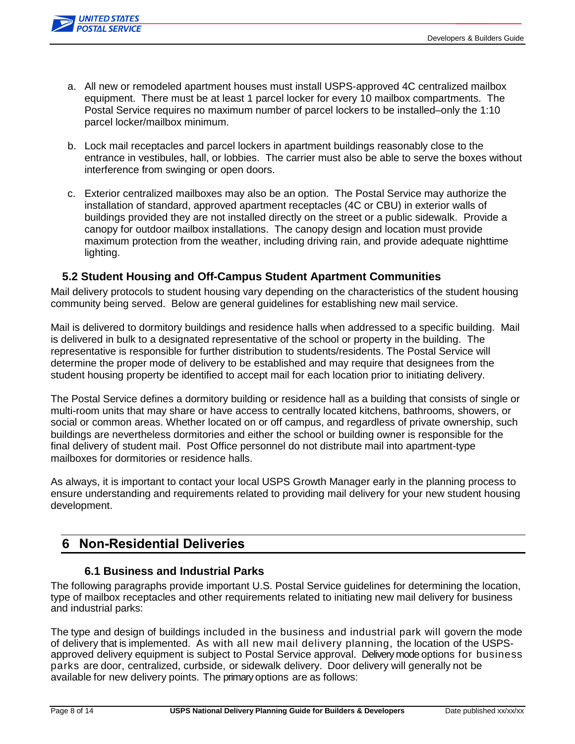

- a. All new or remodeled apartment houses must install USPS-approved 4C centralized mailbox equipment. There must be at least 1 parcel locker for every 10 mailbox compartments. The Postal Service requires no maximum number of parcel lockers to be installed–only the 1:10 parcel locker/mailbox minimum.
- b. Lock mail receptacles and parcel lockers in apartment buildings reasonably close to the entrance in vestibules, hall, or lobbies. The carrier must also be able to serve the boxes without interference from swinging or open doors.
- c. Exterior centralized mailboxes may also be an option. The Postal Service may authorize the installation of standard, approved apartment receptacles (4C or CBU) in exterior walls of buildings provided they are not installed directly on the street or a public sidewalk. Provide a canopy for outdoor mailbox installations. The canopy design and location must provide maximum protection from the weather, including driving rain, and provide adequate nighttime lighting.

### <span id="page-7-0"></span>**5.2 Student Housing and Off-Campus Student Apartment Communities**

Mail delivery protocols to student housing vary depending on the characteristics of the student housing community being served. Below are general guidelines for establishing new mail service.

Mail is delivered to dormitory buildings and residence halls when addressed to a specific building. Mail is delivered in bulk to a designated representative of the school or property in the building. The representative is responsible for further distribution to students/residents. The Postal Service will determine the proper mode of delivery to be established and may require that designees from the student housing property be identified to accept mail for each location prior to initiating delivery.

The Postal Service defines a dormitory building or residence hall as a building that consists of single or multi-room units that may share or have access to centrally located kitchens, bathrooms, showers, or social or common areas. Whether located on or off campus, and regardless of private ownership, such buildings are nevertheless dormitories and either the school or building owner is responsible for the final delivery of student mail. Post Office personnel do not distribute mail into apartment-type mailboxes for dormitories or residence halls.

As always, it is important to contact your local USPS Growth Manager early in the planning process to ensure understanding and requirements related to providing mail delivery for your new student housing development.

### <span id="page-7-1"></span>**6 Non-Residential Deliveries**

### <span id="page-7-2"></span>**6.1 Business and Industrial Parks**

The following paragraphs provide important U.S. Postal Service guidelines for determining the location, type of mailbox receptacles and other requirements related to initiating new mail delivery for business and industrial parks:

The type and design of buildings included in the business and industrial park will govern the mode of delivery that is implemented. As with all new mail delivery planning, the location of the USPSapproved delivery equipment is subject to Postal Service approval. Delivery mode options for business parks are door, centralized, curbside, or sidewalk delivery. Door delivery will generally not be available for new delivery points. The primary options are as follows: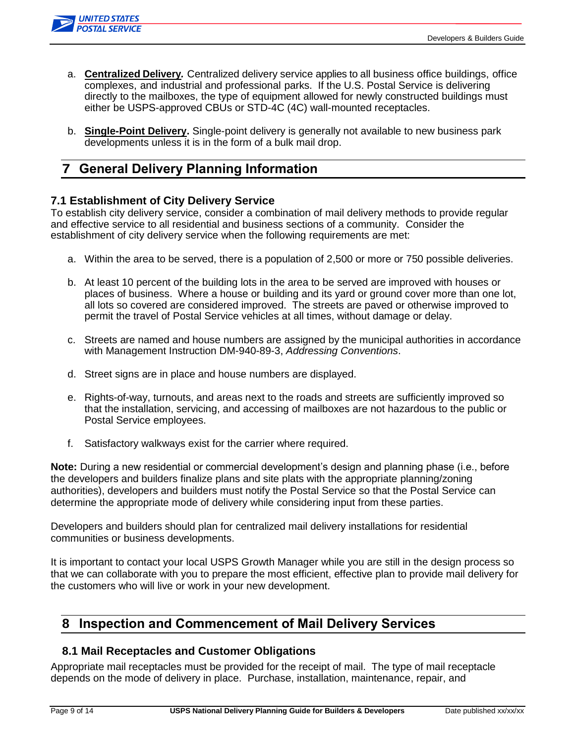

- a. **Centralized Delivery***.* Centralized delivery service applies to all business office buildings, office complexes, and industrial and professional parks. If the U.S. Postal Service is delivering directly to the mailboxes, the type of equipment allowed for newly constructed buildings must either be USPS-approved CBUs or STD-4C (4C) wall-mounted receptacles.
- b. **Single-Point Delivery.** Single-point delivery is generally not available to new business park developments unless it is in the form of a bulk mail drop.

# <span id="page-8-0"></span>**7 General Delivery Planning Information**

### **7.1 Establishment of City Delivery Service**

To establish city delivery service, consider a combination of mail delivery methods to provide regular and effective service to all residential and business sections of a community. Consider the establishment of city delivery service when the following requirements are met:

- a. Within the area to be served, there is a population of 2,500 or more or 750 possible deliveries.
- b. At least 10 percent of the building lots in the area to be served are improved with houses or places of business. Where a house or building and its yard or ground cover more than one lot, all lots so covered are considered improved. The streets are paved or otherwise improved to permit the travel of Postal Service vehicles at all times, without damage or delay.
- c. Streets are named and house numbers are assigned by the municipal authorities in accordance with Management Instruction DM-940-89-3, *Addressing Conventions*.
- d. Street signs are in place and house numbers are displayed.
- e. Rights-of-way, turnouts, and areas next to the roads and streets are sufficiently improved so that the installation, servicing, and accessing of mailboxes are not hazardous to the public or Postal Service employees.
- f. Satisfactory walkways exist for the carrier where required.

**Note:** During a new residential or commercial development's design and planning phase (i.e., before the developers and builders finalize plans and site plats with the appropriate planning/zoning authorities), developers and builders must notify the Postal Service so that the Postal Service can determine the appropriate mode of delivery while considering input from these parties.

Developers and builders should plan for centralized mail delivery installations for residential communities or business developments.

It is important to contact your local USPS Growth Manager while you are still in the design process so that we can collaborate with you to prepare the most efficient, effective plan to provide mail delivery for the customers who will live or work in your new development.

### <span id="page-8-1"></span>**8 Inspection and Commencement of Mail Delivery Services**

### <span id="page-8-2"></span>**8.1 Mail Receptacles and Customer Obligations**

Appropriate mail receptacles must be provided for the receipt of mail. The type of mail receptacle depends on the mode of delivery in place. Purchase, installation, maintenance, repair, and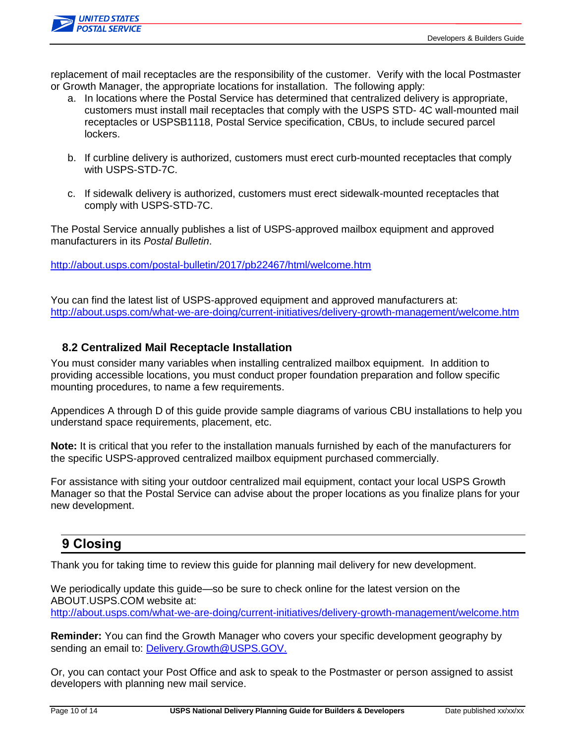

replacement of mail receptacles are the responsibility of the customer. Verify with the local Postmaster or Growth Manager, the appropriate locations for installation. The following apply:

- a. In locations where the Postal Service has determined that centralized delivery is appropriate, customers must install mail receptacles that comply with the USPS STD- 4C wall-mounted mail receptacles or USPSB1118, Postal Service specification, CBUs, to include secured parcel lockers.
- b. If curbline delivery is authorized, customers must erect curb-mounted receptacles that comply with USPS-STD-7C.
- c. If sidewalk delivery is authorized, customers must erect sidewalk-mounted receptacles that comply with USPS-STD-7C.

The Postal Service annually publishes a list of USPS-approved mailbox equipment and approved manufacturers in its *Postal Bulletin*.

<http://about.usps.com/postal-bulletin/2017/pb22467/html/welcome.htm>

You can find the latest list of USPS-approved equipment and approved manufacturers at: <http://about.usps.com/what-we-are-doing/current-initiatives/delivery-growth-management/welcome.htm>

### <span id="page-9-0"></span>**8.2 Centralized Mail Receptacle Installation**

You must consider many variables when installing centralized mailbox equipment. In addition to providing accessible locations, you must conduct proper foundation preparation and follow specific mounting procedures, to name a few requirements.

Appendices A through D of this guide provide sample diagrams of various CBU installations to help you understand space requirements, placement, etc.

**Note:** It is critical that you refer to the installation manuals furnished by each of the manufacturers for the specific USPS-approved centralized mailbox equipment purchased commercially.

For assistance with siting your outdoor centralized mail equipment, contact your local USPS Growth Manager so that the Postal Service can advise about the proper locations as you finalize plans for your new development.

# <span id="page-9-1"></span>**9 Closing**

Thank you for taking time to review this guide for planning mail delivery for new development.

We periodically update this guide—so be sure to check online for the latest version on the ABOUT.USPS.COM website at: <http://about.usps.com/what-we-are-doing/current-initiatives/delivery-growth-management/welcome.htm>

**Reminder:** You can find the Growth Manager who covers your specific development geography by sending an email to: [Delivery.Growth@USPS.GOV.](mailto:Delivery.Growth@USPS.GOV)

Or, you can contact your Post Office and ask to speak to the Postmaster or person assigned to assist developers with planning new mail service.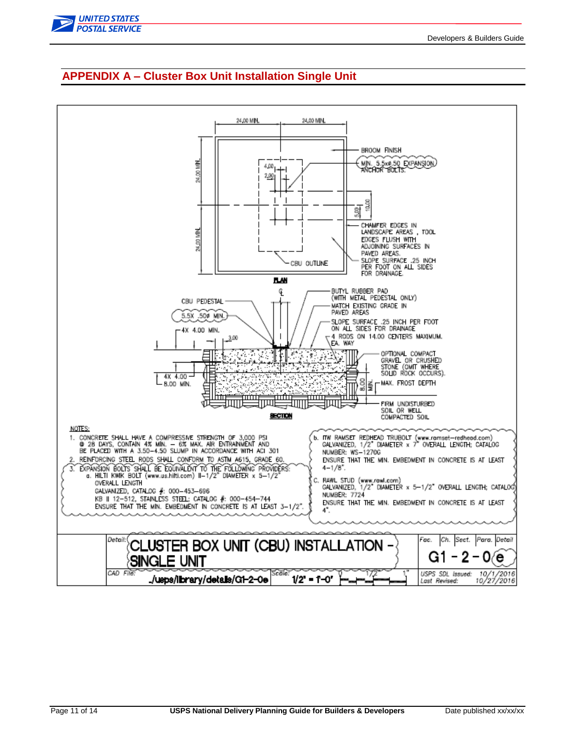

<span id="page-10-0"></span>

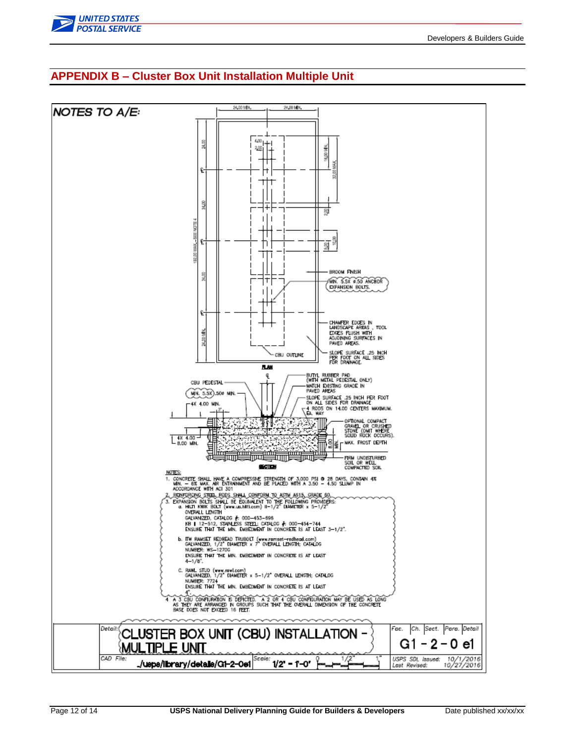

### <span id="page-11-0"></span>**APPENDIX B – Cluster Box Unit Installation Multiple Unit**

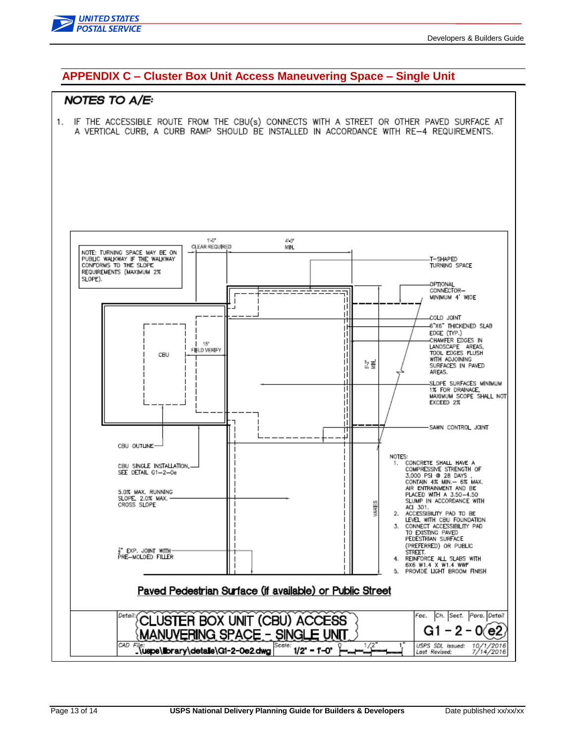

### <span id="page-12-0"></span>**APPENDIX C – Cluster Box Unit Access Maneuvering Space – Single Unit**

### **NOTES TO A/E:**

1. IF THE ACCESSIBLE ROUTE FROM THE CBU(s) CONNECTS WITH A STREET OR OTHER PAVED SURFACE AT A VERTICAL CURB. A CURB RAMP SHOULD BE INSTALLED IN ACCORDANCE WITH RE-4 REQUIREMENTS.